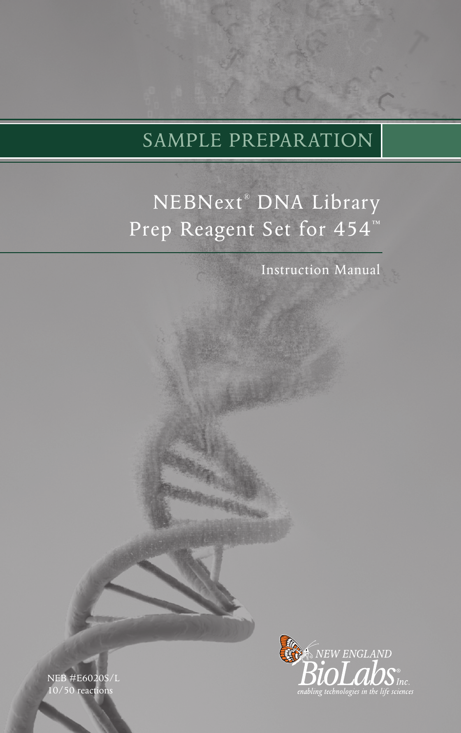# SAMPLE PREPARATION

# NEBNext® DNA Library Prep Reagent Set for 454™

Instruction Manual



NEB #E6020S/L 0/50 reactions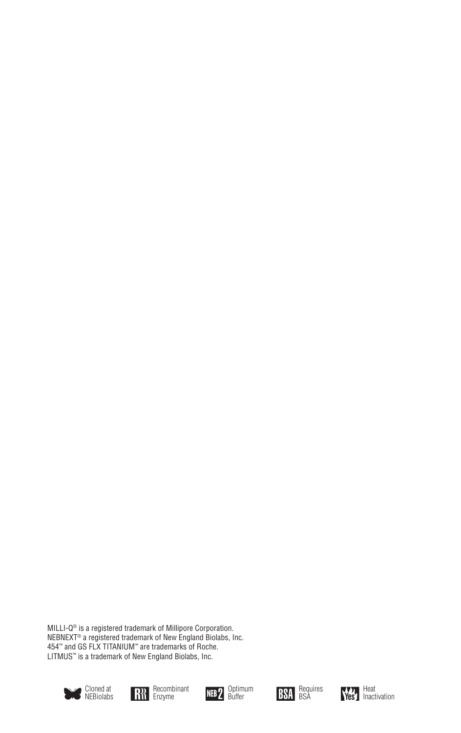MILLI-Q® is a registered trademark of Millipore Corporation. NEBNEXT® a registered trademark of New England Biolabs, Inc. 454™ and GS FLX TITANIUM™ are trademarks of Roche. LITMUS<sup>"</sup> is a trademark of New England Biolabs, Inc.











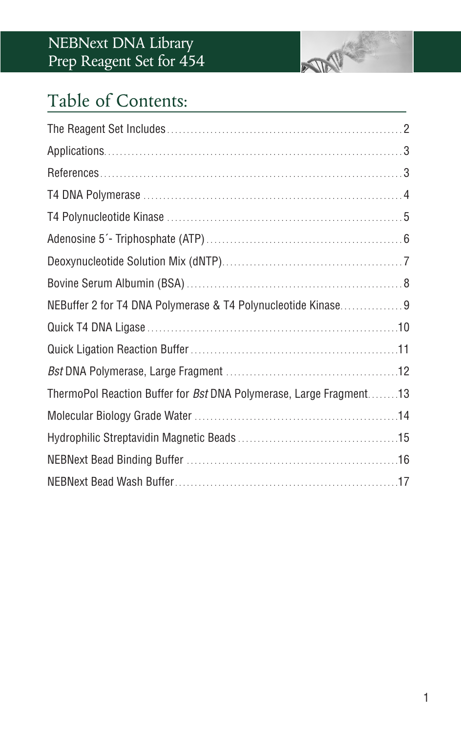## NEBNext DNA Library Prep Reagent Set for 454



# Table of Contents:

| NEBuffer 2 for T4 DNA Polymerase & T4 Polynucleotide Kinase9              |  |
|---------------------------------------------------------------------------|--|
|                                                                           |  |
|                                                                           |  |
|                                                                           |  |
| ThermoPol Reaction Buffer for <i>Bst</i> DNA Polymerase, Large Fragment13 |  |
|                                                                           |  |
|                                                                           |  |
|                                                                           |  |
|                                                                           |  |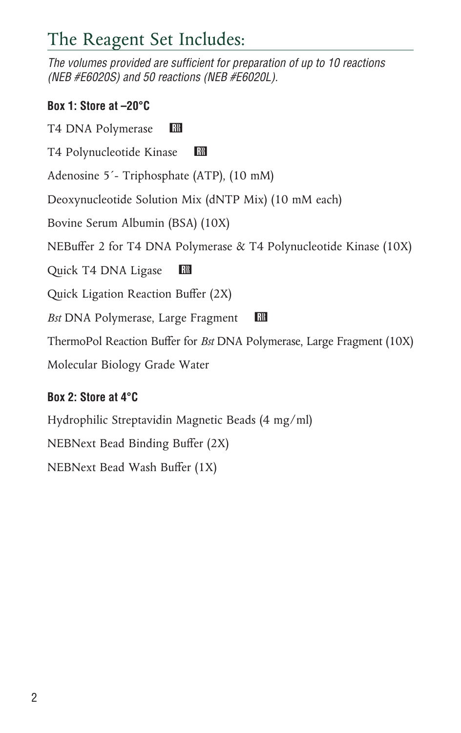# The Reagent Set Includes:

*The volumes provided are sufficient for preparation of up to 10 reactions (NEB #E6020S) and 50 reactions (NEB #E6020L).*

### **Box 1: Store at –20°C**

T4 DNA Polymerase RR

T4 Polynucleotide Kinase R

Adenosine 5´- Triphosphate (ATP), (10 mM)

Deoxynucleotide Solution Mix (dNTP Mix) (10 mM each)

Bovine Serum Albumin (BSA) (10X)

NEBuffer 2 for T4 DNA Polymerase & T4 Polynucleotide Kinase (10X)

Quick T4 DNA Ligase RR

Quick Ligation Reaction Buffer (2X)

*Bst* DNA Polymerase, Large Fragment **RM** 

ThermoPol Reaction Buffer for *Bst* DNA Polymerase, Large Fragment (10X)

Molecular Biology Grade Water

## **Box 2: Store at 4°C**

Hydrophilic Streptavidin Magnetic Beads (4 mg/ml)

NEBNext Bead Binding Buffer (2X)

NEBNext Bead Wash Buffer (1X)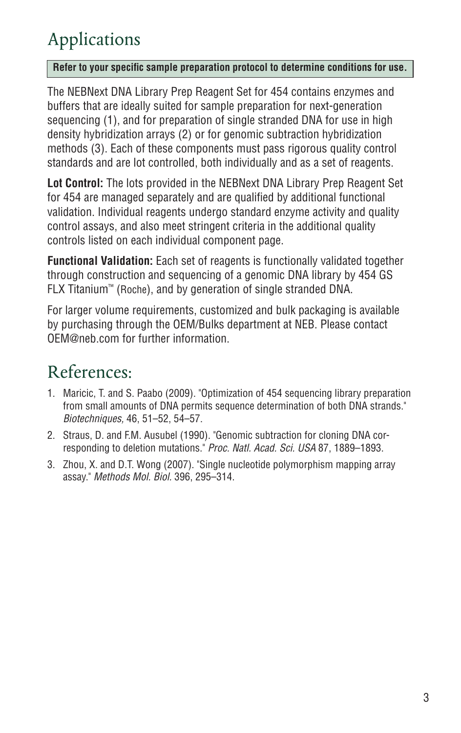# Applications

#### **Refer to your specific sample preparation protocol to determine conditions for use.**

The NEBNext DNA Library Prep Reagent Set for 454 contains enzymes and buffers that are ideally suited for sample preparation for next-generation sequencing (1), and for preparation of single stranded DNA for use in high density hybridization arrays (2) or for genomic subtraction hybridization methods (3). Each of these components must pass rigorous quality control standards and are lot controlled, both individually and as a set of reagents.

**Lot Control:** The lots provided in the NEBNext DNA Library Prep Reagent Set for 454 are managed separately and are qualified by additional functional validation. Individual reagents undergo standard enzyme activity and quality control assays, and also meet stringent criteria in the additional quality controls listed on each individual component page.

**Functional Validation:** Each set of reagents is functionally validated together through construction and sequencing of a genomic DNA library by 454 GS FLX Titanium™ (Roche), and by generation of single stranded DNA.

For larger volume requirements, customized and bulk packaging is available by purchasing through the OEM/Bulks department at NEB. Please contact OEM@neb.com for further information.

- 1. Maricic, T. and S. Paabo (2009). "Optimization of 454 sequencing library preparation from small amounts of DNA permits sequence determination of both DNA strands." *Biotechniques,* 46, 51–52, 54–57.
- 2. Straus, D. and F.M. Ausubel (1990). "Genomic subtraction for cloning DNA corresponding to deletion mutations." *Proc. Natl. Acad. Sci. USA* 87, 1889–1893.
- 3. Zhou, X. and D.T. Wong (2007). "Single nucleotide polymorphism mapping array assay." *Methods Mol. Biol.* 396, 295–314.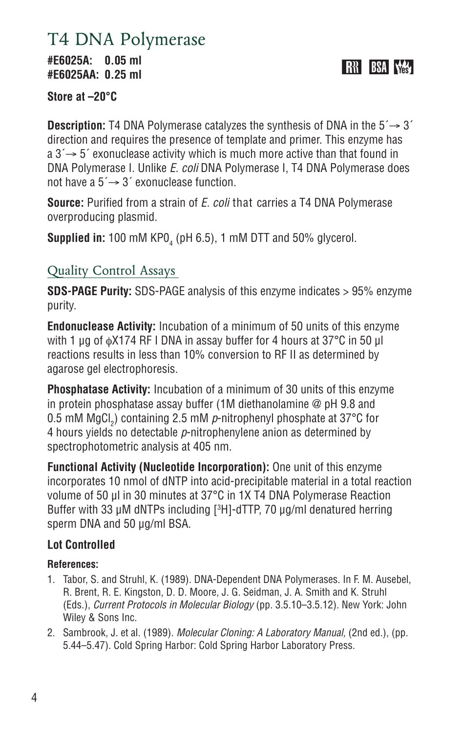## T4 DNA Polymerase

**#E6025A: 0.05 ml #E6025AA: 0.25 ml**

**RH** BSA VA

**Store at –20°C** 

**Description:** T4 DNA Polymerase catalyzes the synthesis of DNA in the  $5 \rightarrow 3'$ direction and requires the presence of template and primer. This enzyme has  $a 3' \rightarrow 5'$  exonuclease activity which is much more active than that found in DNA Polymerase I. Unlike *E. coli* DNA Polymerase I, T4 DNA Polymerase does not have a  $5' \rightarrow 3'$  exonuclease function.

**Source:** Purified from a strain of *E. coli* that carries a T4 DNA Polymerase overproducing plasmid.

 ${\sf Supplied}$  in: 100 mM KPO $_4$  (pH 6.5), 1 mM DTT and 50% glycerol.

## Quality Control Assays

**SDS-PAGE Purity:** SDS-PAGE analysis of this enzyme indicates > 95% enzyme purity.

**Endonuclease Activity:** Incubation of a minimum of 50 units of this enzyme with 1 μg of φX174 RF I DNA in assay buffer for 4 hours at 37°C in 50 μl reactions results in less than 10% conversion to RF II as determined by agarose gel electrophoresis.

**Phosphatase Activity:** Incubation of a minimum of 30 units of this enzyme in protein phosphatase assay buffer (1M diethanolamine @ pH 9.8 and 0.5 mM MgCl<sub>2</sub>) containing 2.5 mM  $\rho$ -nitrophenyl phosphate at 37°C for 4 hours yields no detectable *p*-nitrophenylene anion as determined by spectrophotometric analysis at 405 nm.

**Functional Activity (Nucleotide Incorporation):** One unit of this enzyme incorporates 10 nmol of dNTP into acid-precipitable material in a total reaction volume of 50 μl in 30 minutes at 37°C in 1X T4 DNA Polymerase Reaction Buffer with 33 µM dNTPs including [3 H]-dTTP, 70 µg/ml denatured herring sperm DNA and 50 µg/ml BSA.

### **Lot Controlled**

- 1. Tabor, S. and Struhl, K. (1989). DNA-Dependent DNA Polymerases. In F. M. Ausebel, R. Brent, R. E. Kingston, D. D. Moore, J. G. Seidman, J. A. Smith and K. Struhl (Eds.), *Current Protocols in Molecular Biology* (pp. 3.5.10–3.5.12). New York: John Wiley & Sons Inc.
- 2. Sambrook, J. et al. (1989). *Molecular Cloning: A Laboratory Manual,* (2nd ed.), (pp. 5.44–5.47). Cold Spring Harbor: Cold Spring Harbor Laboratory Press.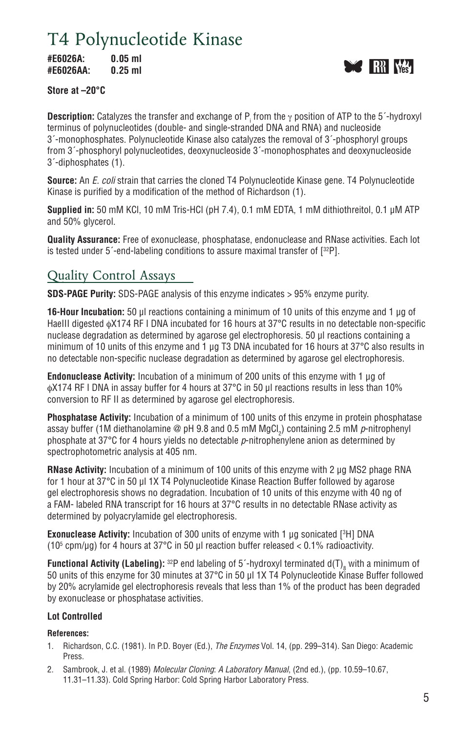# T4 Polynucleotide Kinase

**#E6026A: 0.05 ml #E6026AA: 0.25 ml**



#### **Store at –20°C**

**Description:** Catalyzes the transfer and exchange of P<sub>i</sub> from the γ position of ATP to the 5´-hydroxyl terminus of polynucleotides (double- and single-stranded DNA and RNA) and nucleoside 3´-monophosphates. Polynucleotide Kinase also catalyzes the removal of 3´-phosphoryl groups from 3´-phosphoryl polynucleotides, deoxynucleoside 3´-monophosphates and deoxynucleoside 3´-diphosphates (1).

**Source:** An *E. coli* strain that carries the cloned T4 Polynucleotide Kinase gene. T4 Polynucleotide Kinase is purified by a modification of the method of Richardson (1).

**Supplied in:** 50 mM KCl, 10 mM Tris-HCl (pH 7.4), 0.1 mM EDTA, 1 mM dithiothreitol, 0.1 µM ATP and 50% glycerol.

**Quality Assurance:** Free of exonuclease, phosphatase, endonuclease and RNase activities. Each lot is tested under 5´-end-labeling conditions to assure maximal transfer of [32P].

### Quality Control Assays

**SDS-PAGE Purity:** SDS-PAGE analysis of this enzyme indicates > 95% enzyme purity.

**16-Hour Incubation:** 50 μl reactions containing a minimum of 10 units of this enzyme and 1 μg of HaeIII digested φX174 RF I DNA incubated for 16 hours at 37°C results in no detectable non-specific nuclease degradation as determined by agarose gel electrophoresis. 50 μl reactions containing a minimum of 10 units of this enzyme and 1 ug T3 DNA incubated for 16 hours at 37°C also results in no detectable non-specific nuclease degradation as determined by agarose gel electrophoresis.

**Endonuclease Activity:** Incubation of a minimum of 200 units of this enzyme with 1 μg of φX174 RF I DNA in assay buffer for 4 hours at 37°C in 50 μl reactions results in less than 10% conversion to RF II as determined by agarose gel electrophoresis.

**Phosphatase Activity:** Incubation of a minimum of 100 units of this enzyme in protein phosphatase assay buffer (1M diethanolamine @ pH 9.8 and 0.5 mM MgCl<sub>2</sub>) containing 2.5 mM *p*-nitrophenyl phosphate at 37°C for 4 hours yields no detectable *p*-nitrophenylene anion as determined by spectrophotometric analysis at 405 nm.

**RNase Activity:** Incubation of a minimum of 100 units of this enzyme with 2 μg MS2 phage RNA for 1 hour at 37°C in 50 μl 1X T4 Polynucleotide Kinase Reaction Buffer followed by agarose gel electrophoresis shows no degradation. Incubation of 10 units of this enzyme with 40 ng of a FAM- labeled RNA transcript for 16 hours at 37°C results in no detectable RNase activity as determined by polyacrylamide gel electrophoresis.

**Exonuclease Activity:** Incubation of 300 units of enzyme with 1 μg sonicated [3 H] DNA (10<sup>5</sup> cpm/µg) for 4 hours at 37°C in 50 µl reaction buffer released < 0.1% radioactivity.

**Functional Activity (Labeling):**  $^{32}$ P end labeling of 5´-hydroxyl terminated d(T)<sub>8</sub> with a minimum of 50 units of this enzyme for 30 minutes at 37°C in 50 µl 1X T4 Polynucleotide Kinase Buffer followed by 20% acrylamide gel electrophoresis reveals that less than 1% of the product has been degraded by exonuclease or phosphatase activities.

#### **Lot Controlled**

- 1. Richardson, C.C. (1981). In P.D. Boyer (Ed.), *The Enzymes* Vol. 14, (pp. 299–314). San Diego: Academic Press.
- 2. Sambrook, J. et al. (1989) *Molecular Cloning*: *A Laboratory Manual*, (2nd ed.), (pp. 10.59–10.67, 11.31–11.33). Cold Spring Harbor: Cold Spring Harbor Laboratory Press.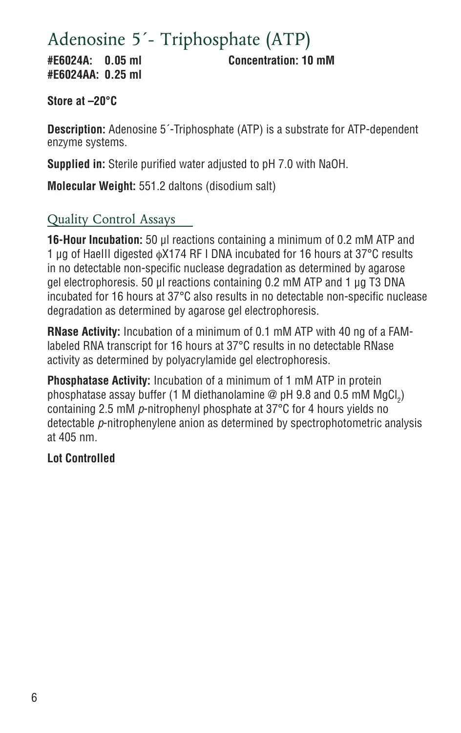# Adenosine 5´- Triphosphate (ATP)

**#E6024AA: 0.25 ml**

**#E6024A: 0.05 ml Concentration: 10 mM**

### **Store at –20°C**

**Description:** Adenosine 5´-Triphosphate (ATP) is a substrate for ATP-dependent enzyme systems.

**Supplied in:** Sterile purified water adjusted to pH 7.0 with NaOH.

**Molecular Weight:** 551.2 daltons (disodium salt)

## Quality Control Assays

**16-Hour Incubation:** 50 μl reactions containing a minimum of 0.2 mM ATP and 1 μg of HaeIII digested φX174 RF I DNA incubated for 16 hours at 37°C results in no detectable non-specific nuclease degradation as determined by agarose gel electrophoresis. 50 μl reactions containing 0.2 mM ATP and 1 μg T3 DNA incubated for 16 hours at 37°C also results in no detectable non-specific nuclease degradation as determined by agarose gel electrophoresis.

**RNase Activity:** Incubation of a minimum of 0.1 mM ATP with 40 ng of a FAMlabeled RNA transcript for 16 hours at 37°C results in no detectable RNase activity as determined by polyacrylamide gel electrophoresis.

**Phosphatase Activity:** Incubation of a minimum of 1 mM ATP in protein phosphatase assay buffer (1 M diethanolamine @ pH 9.8 and 0.5 mM MgCl $_2)$ containing 2.5 mM *p*-nitrophenyl phosphate at 37°C for 4 hours yields no detectable *p*-nitrophenylene anion as determined by spectrophotometric analysis at 405 nm.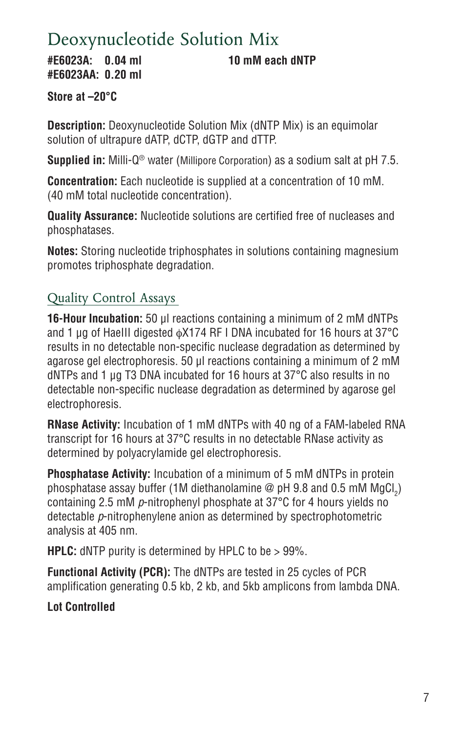# Deoxynucleotide Solution Mix

**#E6023A: 0.04 ml 10 mM each dNTP #E6023AA: 0.20 ml**

**Store at –20°C** 

**Description:** Deoxynucleotide Solution Mix (dNTP Mix) is an equimolar solution of ultrapure dATP, dCTP, dGTP and dTTP.

**Supplied in:** Milli-Q® water (Millipore Corporation) as a sodium salt at pH 7.5.

**Concentration:** Each nucleotide is supplied at a concentration of 10 mM. (40 mM total nucleotide concentration).

**Quality Assurance:** Nucleotide solutions are certified free of nucleases and phosphatases.

**Notes:** Storing nucleotide triphosphates in solutions containing magnesium promotes triphosphate degradation.

## Quality Control Assays

**16-Hour Incubation:** 50 μl reactions containing a minimum of 2 mM dNTPs and 1 μg of HaeIII digested φX174 RF I DNA incubated for 16 hours at 37°C results in no detectable non-specific nuclease degradation as determined by agarose gel electrophoresis. 50 μl reactions containing a minimum of 2 mM dNTPs and 1 μg T3 DNA incubated for 16 hours at 37°C also results in no detectable non-specific nuclease degradation as determined by agarose gel electrophoresis.

**RNase Activity:** Incubation of 1 mM dNTPs with 40 ng of a FAM-labeled RNA transcript for 16 hours at 37°C results in no detectable RNase activity as determined by polyacrylamide gel electrophoresis.

**Phosphatase Activity:** Incubation of a minimum of 5 mM dNTPs in protein phosphatase assay buffer (1M diethanolamine @ pH 9.8 and 0.5 mM MgCl $_2)$ containing 2.5 mM *p*-nitrophenyl phosphate at 37°C for 4 hours yields no detectable *p*-nitrophenylene anion as determined by spectrophotometric analysis at 405 nm.

**HPLC:** dNTP purity is determined by HPLC to be > 99%.

**Functional Activity (PCR):** The dNTPs are tested in 25 cycles of PCR amplification generating 0.5 kb, 2 kb, and 5kb amplicons from lambda DNA.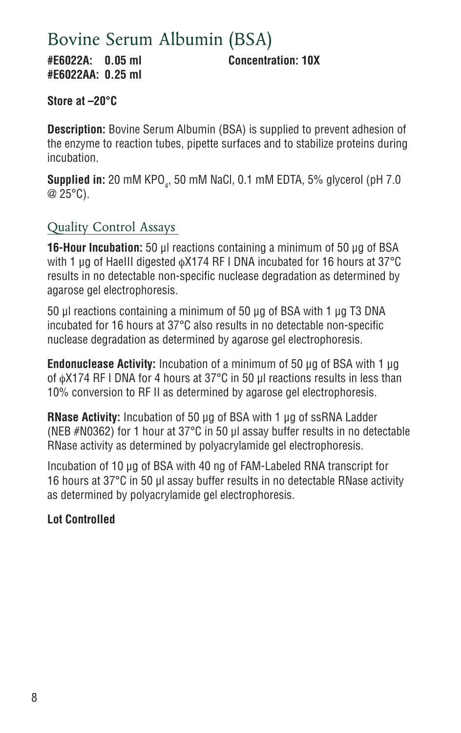# Bovine Serum Albumin (BSA)

**#E6022A: 0.05 ml Concentration: 10X #E6022AA: 0.25 ml**

**Store at –20°C** 

**Description:** Bovine Serum Albumin (BSA) is supplied to prevent adhesion of the enzyme to reaction tubes, pipette surfaces and to stabilize proteins during incubation.

**Supplied in:** 20 mM KPO<sub>4</sub>, 50 mM NaCl, 0.1 mM EDTA, 5% glycerol (pH 7.0 @ 25°C).

## Quality Control Assays

**16-Hour Incubation:** 50 μl reactions containing a minimum of 50 μg of BSA with 1 μg of HaeIII digested φX174 RF I DNA incubated for 16 hours at 37°C results in no detectable non-specific nuclease degradation as determined by agarose gel electrophoresis.

50 µl reactions containing a minimum of 50 µg of BSA with 1 µg T3 DNA incubated for 16 hours at 37°C also results in no detectable non-specific nuclease degradation as determined by agarose gel electrophoresis.

**Endonuclease Activity:** Incubation of a minimum of 50 µg of BSA with 1 μg of φX174 RF I DNA for 4 hours at 37°C in 50 μl reactions results in less than 10% conversion to RF II as determined by agarose gel electrophoresis.

**RNase Activity:** Incubation of 50 µg of BSA with 1 µg of ssRNA Ladder (NEB #N0362) for 1 hour at 37°C in 50 µl assay buffer results in no detectable RNase activity as determined by polyacrylamide gel electrophoresis.

Incubation of 10 µg of BSA with 40 ng of FAM-Labeled RNA transcript for 16 hours at 37°C in 50 µl assay buffer results in no detectable RNase activity as determined by polyacrylamide gel electrophoresis.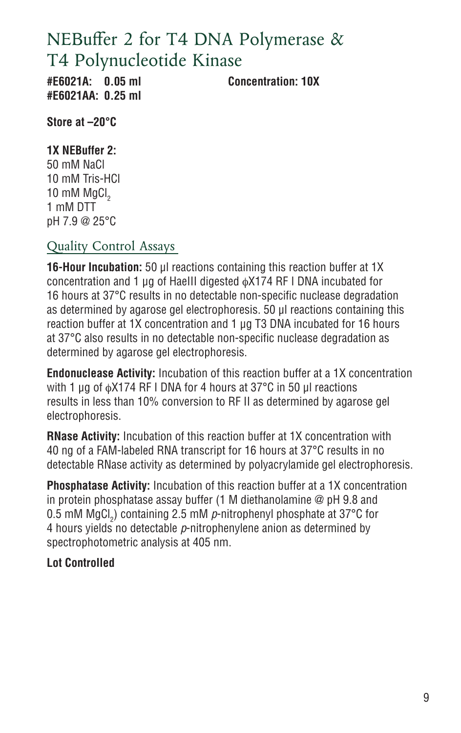# NEBuffer 2 for T4 DNA Polymerase & T4 Polynucleotide Kinase

**#E6021AA: 0.25 ml**

**#E6021A: 0.05 ml Concentration: 10X**

**Store at –20°C** 

**1X NEBuffer 2:** 50 mM NaCl

10 mM Tris-HCl 10 mM MgCl<sub>2</sub> 1 mM DTT pH 7.9 @ 25°C

## Quality Control Assays

**16-Hour Incubation:** 50 μl reactions containing this reaction buffer at 1X concentration and 1 μg of HaeIII digested φX174 RF I DNA incubated for 16 hours at 37°C results in no detectable non-specific nuclease degradation as determined by agarose gel electrophoresis. 50 μl reactions containing this reaction buffer at 1X concentration and 1 μg T3 DNA incubated for 16 hours at 37°C also results in no detectable non-specific nuclease degradation as determined by agarose gel electrophoresis.

**Endonuclease Activity:** Incubation of this reaction buffer at a 1X concentration with 1 μg of φX174 RF I DNA for 4 hours at 37°C in 50 μl reactions results in less than 10% conversion to RF II as determined by agarose gel electrophoresis.

**RNase Activity:** Incubation of this reaction buffer at 1X concentration with 40 ng of a FAM-labeled RNA transcript for 16 hours at 37°C results in no detectable RNase activity as determined by polyacrylamide gel electrophoresis.

**Phosphatase Activity:** Incubation of this reaction buffer at a 1X concentration in protein phosphatase assay buffer (1 M diethanolamine @ pH 9.8 and 0.5 mM MgCl<sub>2</sub>) containing 2.5 mM  $\rho$ -nitrophenyl phosphate at 37°C for 4 hours yields no detectable *p*-nitrophenylene anion as determined by spectrophotometric analysis at 405 nm.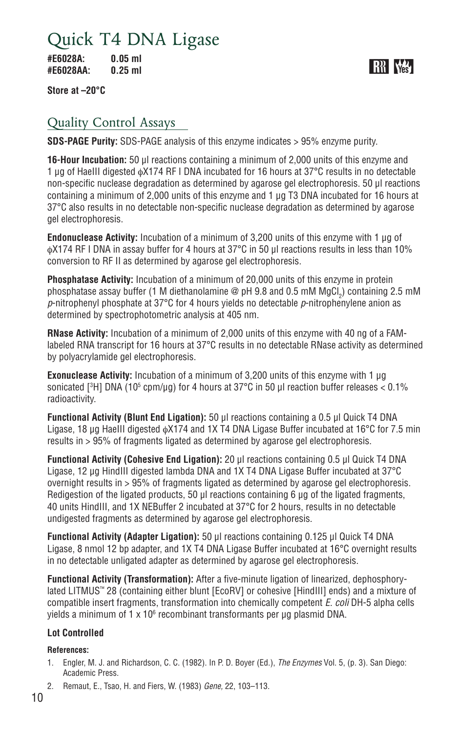# Quick T4 DNA Ligase

**#E6028A: 0.05 ml #E6028AA: 0.25 ml**

**RR** W

**Store at –20°C** 

### Quality Control Assays

**SDS-PAGE Purity:** SDS-PAGE analysis of this enzyme indicates > 95% enzyme purity.

**16-Hour Incubation:** 50 μl reactions containing a minimum of 2,000 units of this enzyme and 1 μg of HaeIII digested φX174 RF I DNA incubated for 16 hours at 37°C results in no detectable non-specific nuclease degradation as determined by agarose gel electrophoresis. 50 μl reactions containing a minimum of 2,000 units of this enzyme and 1 μg T3 DNA incubated for 16 hours at 37°C also results in no detectable non-specific nuclease degradation as determined by agarose gel electrophoresis.

**Endonuclease Activity:** Incubation of a minimum of 3,200 units of this enzyme with 1 μg of φX174 RF I DNA in assay buffer for 4 hours at 37°C in 50 μl reactions results in less than 10% conversion to RF II as determined by agarose gel electrophoresis.

**Phosphatase Activity:** Incubation of a minimum of 20,000 units of this enzyme in protein phosphatase assay buffer (1 M diethanolamine @ pH 9.8 and 0.5 mM MgCl $_2$ ) containing 2.5 mM *p*-nitrophenyl phosphate at 37°C for 4 hours yields no detectable *p*-nitrophenylene anion as determined by spectrophotometric analysis at 405 nm.

**RNase Activity:** Incubation of a minimum of 2,000 units of this enzyme with 40 ng of a FAMlabeled RNA transcript for 16 hours at 37°C results in no detectable RNase activity as determined by polyacrylamide gel electrophoresis.

**Exonuclease Activity:** Incubation of a minimum of 3,200 units of this enzyme with 1 μg sonicated [3H] DNA (105 cpm/µg) for 4 hours at 37°C in 50 µl reaction buffer releases < 0.1% radioactivity.

**Functional Activity (Blunt End Ligation):** 50 μl reactions containing a 0.5 µl Quick T4 DNA Ligase, 18 μg HaeIII digested φX174 and 1X T4 DNA Ligase Buffer incubated at 16°C for 7.5 min results in > 95% of fragments ligated as determined by agarose gel electrophoresis.

**Functional Activity (Cohesive End Ligation):** 20 μl reactions containing 0.5 µl Quick T4 DNA Ligase, 12 µg HindIII digested lambda DNA and 1X T4 DNA Ligase Buffer incubated at 37°C overnight results in > 95% of fragments ligated as determined by agarose gel electrophoresis. Redigestion of the ligated products, 50 μl reactions containing 6 μg of the ligated fragments, 40 units HindIII, and 1X NEBuffer 2 incubated at 37°C for 2 hours, results in no detectable undigested fragments as determined by agarose gel electrophoresis.

**Functional Activity (Adapter Ligation):** 50 μl reactions containing 0.125 µl Quick T4 DNA Ligase, 8 nmol 12 bp adapter, and 1X T4 DNA Ligase Buffer incubated at 16°C overnight results in no detectable unligated adapter as determined by agarose gel electrophoresis.

**Functional Activity (Transformation):** After a five-minute ligation of linearized, dephosphorylated LITMUS™ 28 (containing either blunt [EcoRV] or cohesive [HindIII] ends) and a mixture of compatible insert fragments, transformation into chemically competent *E. coli* DH-5 alpha cells yields a minimum of 1 x 10 $^{\rm 6}$  recombinant transformants per  $\mu$ g plasmid DNA.

#### **Lot Controlled**

- 1. Engler, M. J. and Richardson, C. C. (1982). In P. D. Boyer (Ed.), *The Enzymes* Vol. 5, (p. 3). San Diego: Academic Press.
- 2. Remaut, E., Tsao, H. and Fiers, W. (1983) *Gene,* 22, 103–113.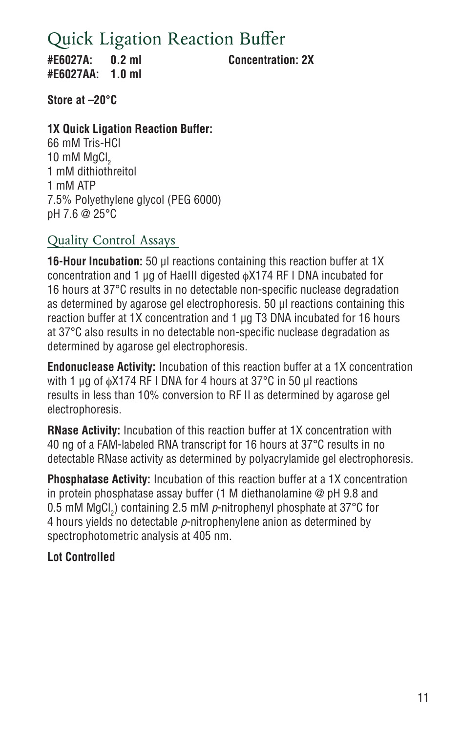# Quick Ligation Reaction Buffer

**#E6027A: 0.2 ml Concentration: 2X #E6027AA: 1.0 ml**

**Store at –20°C** 

#### **1X Quick Ligation Reaction Buffer:**

66 mM Tris-HCl  $10 \text{ mM }$  MaCl<sub>2</sub> 1 mM dithiothreitol 1 mM ATP 7.5% Polyethylene glycol (PEG 6000) pH 7.6 @ 25°C

### Quality Control Assays

**16-Hour Incubation:** 50 μl reactions containing this reaction buffer at 1X concentration and 1 μg of HaeIII digested φX174 RF I DNA incubated for 16 hours at 37°C results in no detectable non-specific nuclease degradation as determined by agarose gel electrophoresis. 50 μl reactions containing this reaction buffer at 1X concentration and 1 μg T3 DNA incubated for 16 hours at 37°C also results in no detectable non-specific nuclease degradation as determined by agarose gel electrophoresis.

**Endonuclease Activity:** Incubation of this reaction buffer at a 1X concentration with 1 μg of φX174 RF I DNA for 4 hours at 37°C in 50 μl reactions results in less than 10% conversion to RF II as determined by agarose gel electrophoresis.

**RNase Activity:** Incubation of this reaction buffer at 1X concentration with 40 ng of a FAM-labeled RNA transcript for 16 hours at 37°C results in no detectable RNase activity as determined by polyacrylamide gel electrophoresis.

**Phosphatase Activity:** Incubation of this reaction buffer at a 1X concentration in protein phosphatase assay buffer (1 M diethanolamine @ pH 9.8 and 0.5 mM MgCl<sub>2</sub>) containing 2.5 mM  $\rho$ -nitrophenyl phosphate at 37°C for 4 hours yields no detectable *p*-nitrophenylene anion as determined by spectrophotometric analysis at 405 nm.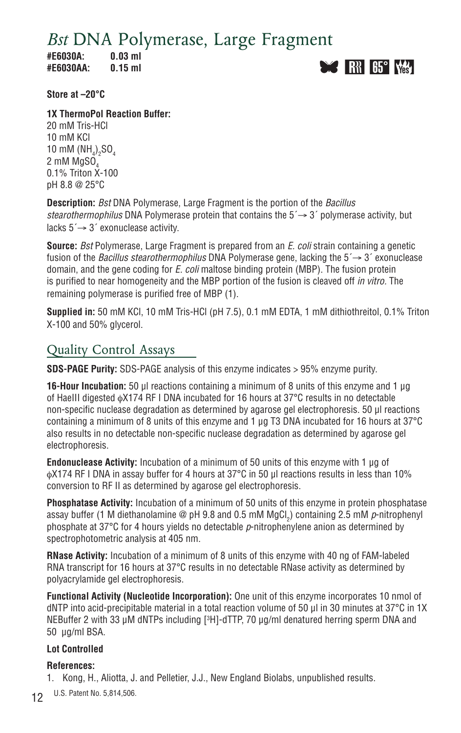*Bst* DNA Polymerase, Large Fragment

**#E6030A: 0.03 ml #E6030AA: 0.15 ml**



**Store at –20°C** 

**1X ThermoPol Reaction Buffer:**

20 mM Tris-HCl 10 mM KCl 10 mM  $(\text{NH}_4)_2\text{SO}_4$ 2 mM MgSO 0.1% Triton X-100 pH 8.8 @ 25°C

**Description:** *Bst* DNA Polymerase, Large Fragment is the portion of the *Bacillus stearothermophilus* DNA Polymerase protein that contains the 5´→ 3´ polymerase activity, but lacks 5´→ 3´ exonuclease activity.

**Source:** *Bst* Polymerase, Large Fragment is prepared from an *E. coli* strain containing a genetic fusion of the *Bacillus stearothermophilus* DNA Polymerase gene, lacking the 5´→ 3´ exonuclease domain, and the gene coding for *E. coli* maltose binding protein (MBP). The fusion protein is purified to near homogeneity and the MBP portion of the fusion is cleaved off *in vitro.* The remaining polymerase is purified free of MBP (1).

**Supplied in:** 50 mM KCl, 10 mM Tris-HCl (pH 7.5), 0.1 mM EDTA, 1 mM dithiothreitol, 0.1% Triton X-100 and 50% glycerol.

### Quality Control Assays

**SDS-PAGE Purity:** SDS-PAGE analysis of this enzyme indicates > 95% enzyme purity.

**16-Hour Incubation:** 50 μl reactions containing a minimum of 8 units of this enzyme and 1 µg of HaeIII digested φX174 RF I DNA incubated for 16 hours at 37°C results in no detectable non-specific nuclease degradation as determined by agarose gel electrophoresis. 50 µl reactions containing a minimum of 8 units of this enzyme and 1 µg T3 DNA incubated for 16 hours at 37°C also results in no detectable non-specific nuclease degradation as determined by agarose gel electrophoresis.

**Endonuclease Activity:** Incubation of a minimum of 50 units of this enzyme with 1 μg of φX174 RF I DNA in assay buffer for 4 hours at 37°C in 50 μl reactions results in less than 10% conversion to RF II as determined by agarose gel electrophoresis.

**Phosphatase Activity:** Incubation of a minimum of 50 units of this enzyme in protein phosphatase assay buffer (1 M diethanolamine @ pH 9.8 and 0.5 mM MgCl<sub>2</sub>) containing 2.5 mM *p*-nitrophenyl phosphate at 37°C for 4 hours yields no detectable *p*-nitrophenylene anion as determined by spectrophotometric analysis at 405 nm.

**RNase Activity:** Incubation of a minimum of 8 units of this enzyme with 40 ng of FAM-labeled RNA transcript for 16 hours at 37°C results in no detectable RNase activity as determined by polyacrylamide gel electrophoresis.

**Functional Activity (Nucleotide Incorporation):** One unit of this enzyme incorporates 10 nmol of dNTP into acid-precipitable material in a total reaction volume of 50 µl in 30 minutes at 37°C in 1X NEBuffer 2 with 33 µM dNTPs including [3 H]-dTTP, 70 µg/ml denatured herring sperm DNA and 50 µg/ml BSA.

#### **Lot Controlled**

#### **References:**

1. Kong, H., Aliotta, J. and Pelletier, J.J., New England Biolabs, unpublished results.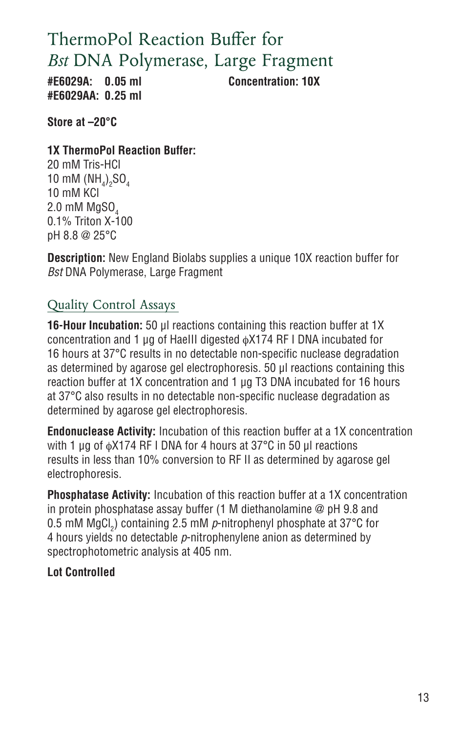# ThermoPol Reaction Buffer for *Bst* DNA Polymerase, Large Fragment

**#E6029AA: 0.25 ml**

**#E6029A: 0.05 ml Concentration: 10X**

**Store at –20°C** 

**1X ThermoPol Reaction Buffer:**

20 mM Tris-HCl 10 mM  $(NH_4)_2SO_4$ 10 mM KCl 2.0 mM MgSO, 0.1% Triton X-100 pH 8.8 @ 25°C

**Description:** New England Biolabs supplies a unique 10X reaction buffer for *Bst* DNA Polymerase, Large Fragment

## Quality Control Assays

**16-Hour Incubation:** 50 μl reactions containing this reaction buffer at 1X concentration and 1 μg of HaeIII digested φX174 RF I DNA incubated for 16 hours at 37°C results in no detectable non-specific nuclease degradation as determined by agarose gel electrophoresis. 50 μl reactions containing this reaction buffer at 1X concentration and 1 μg T3 DNA incubated for 16 hours at 37°C also results in no detectable non-specific nuclease degradation as determined by agarose gel electrophoresis.

**Endonuclease Activity:** Incubation of this reaction buffer at a 1X concentration with 1 μg of φX174 RF I DNA for 4 hours at 37°C in 50 μl reactions results in less than 10% conversion to RF II as determined by agarose gel electrophoresis.

**Phosphatase Activity:** Incubation of this reaction buffer at a 1X concentration in protein phosphatase assay buffer (1 M diethanolamine @ pH 9.8 and 0.5 mM MgCl<sub>2</sub>) containing 2.5 mM  $\rho$ -nitrophenyl phosphate at 37°C for 4 hours yields no detectable *p*-nitrophenylene anion as determined by spectrophotometric analysis at 405 nm.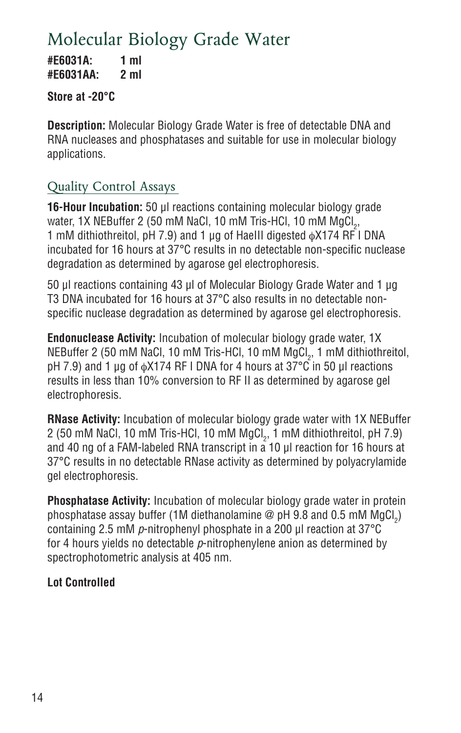# Molecular Biology Grade Water

**#E6031A: 1 ml #E6031AA: 2 ml**

### **Store at -20°C**

**Description:** Molecular Biology Grade Water is free of detectable DNA and RNA nucleases and phosphatases and suitable for use in molecular biology applications.

## Quality Control Assays

**16-Hour Incubation:** 50 μl reactions containing molecular biology grade water, 1X NEBuffer 2 (50 mM NaCl, 10 mM Tris-HCl, 10 mM MgCl $_{\rm 2}$ , 1 mM dithiothreitol, pH 7.9) and 1 μg of HaeIII digested φX174 RF I DNA incubated for 16 hours at 37°C results in no detectable non-specific nuclease degradation as determined by agarose gel electrophoresis.

50 μl reactions containing 43 µl of Molecular Biology Grade Water and 1 μg T3 DNA incubated for 16 hours at 37°C also results in no detectable nonspecific nuclease degradation as determined by agarose gel electrophoresis.

**Endonuclease Activity:** Incubation of molecular biology grade water, 1X NEBuffer 2 (50 mM NaCl, 10 mM Tris-HCl, 10 mM MgCl<sub>2</sub>, 1 mM dithiothreitol, pH 7.9) and 1 μg of φX174 RF I DNA for 4 hours at 37°C in 50 μl reactions results in less than 10% conversion to RF II as determined by agarose gel electrophoresis.

**RNase Activity:** Incubation of molecular biology grade water with 1X NEBuffer 2 (50 mM NaCl, 10 mM Tris-HCl, 10 mM MgCl $_{\textrm{\tiny{2}}}$ , 1 mM dithiothreitol, pH 7.9) and 40 ng of a FAM-labeled RNA transcript in a 10 µl reaction for 16 hours at 37°C results in no detectable RNase activity as determined by polyacrylamide gel electrophoresis.

**Phosphatase Activity:** Incubation of molecular biology grade water in protein phosphatase assay buffer (1M diethanolamine @ pH 9.8 and 0.5 mM MgCl $_2)$ containing 2.5 mM *p*-nitrophenyl phosphate in a 200 µl reaction at 37°C for 4 hours yields no detectable *p*-nitrophenylene anion as determined by spectrophotometric analysis at 405 nm.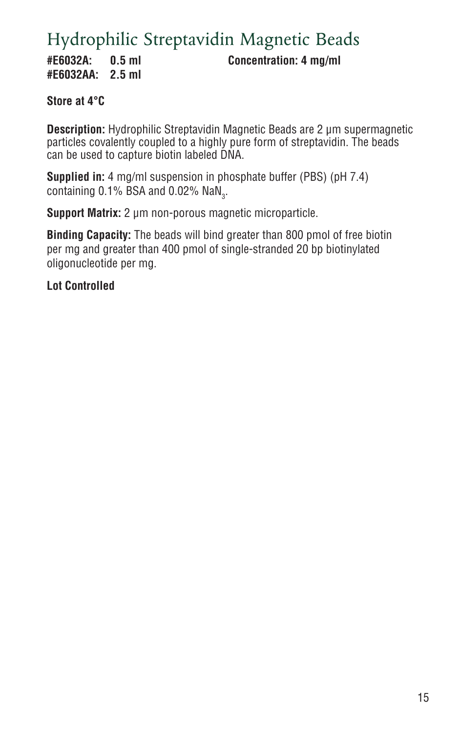# Hydrophilic Streptavidin Magnetic Beads

**#E6032AA: 2.5 ml**

**#E6032A: 0.5 ml Concentration: 4 mg/ml**

### **Store at 4°C**

**Description:** Hydrophilic Streptavidin Magnetic Beads are 2 µm supermagnetic particles covalently coupled to a highly pure form of streptavidin. The beads can be used to capture biotin labeled DNA.

**Supplied in:** 4 mg/ml suspension in phosphate buffer (PBS) (pH 7.4) containing 0.1% BSA and 0.02%  $\mathsf{NaN}_3$ .

**Support Matrix:** 2 µm non-porous magnetic microparticle.

**Binding Capacity:** The beads will bind greater than 800 pmol of free biotin per mg and greater than 400 pmol of single-stranded 20 bp biotinylated oligonucleotide per mg.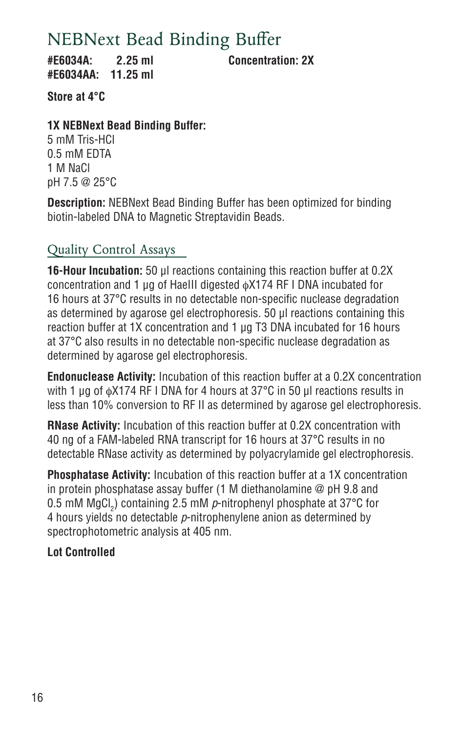# NEBNext Bead Binding Buffer

**#E6034A: 2.25 ml Concentration: 2X #E6034AA: 11.25 ml**

**Store at 4°C** 

### **1X NEBNext Bead Binding Buffer:**

5 mM Tris-HCl 0.5 mM EDTA 1 M NaCl pH 7.5 @ 25°C

**Description:** NEBNext Bead Binding Buffer has been optimized for binding biotin-labeled DNA to Magnetic Streptavidin Beads.

## Quality Control Assays

**16-Hour Incubation:** 50 μl reactions containing this reaction buffer at 0.2X concentration and 1 μg of HaeIII digested φX174 RF I DNA incubated for 16 hours at 37°C results in no detectable non-specific nuclease degradation as determined by agarose gel electrophoresis. 50 μl reactions containing this reaction buffer at 1X concentration and 1 μg T3 DNA incubated for 16 hours at 37°C also results in no detectable non-specific nuclease degradation as determined by agarose gel electrophoresis.

**Endonuclease Activity:** Incubation of this reaction buffer at a 0.2X concentration with 1 μg of φX174 RF I DNA for 4 hours at 37°C in 50 μl reactions results in less than 10% conversion to RF II as determined by agarose gel electrophoresis.

**RNase Activity:** Incubation of this reaction buffer at 0.2X concentration with 40 ng of a FAM-labeled RNA transcript for 16 hours at 37°C results in no detectable RNase activity as determined by polyacrylamide gel electrophoresis.

**Phosphatase Activity:** Incubation of this reaction buffer at a 1X concentration in protein phosphatase assay buffer (1 M diethanolamine @ pH 9.8 and 0.5 mM MgCl<sub>2</sub>) containing 2.5 mM  $\rho$ -nitrophenyl phosphate at 37°C for 4 hours yields no detectable *p*-nitrophenylene anion as determined by spectrophotometric analysis at 405 nm.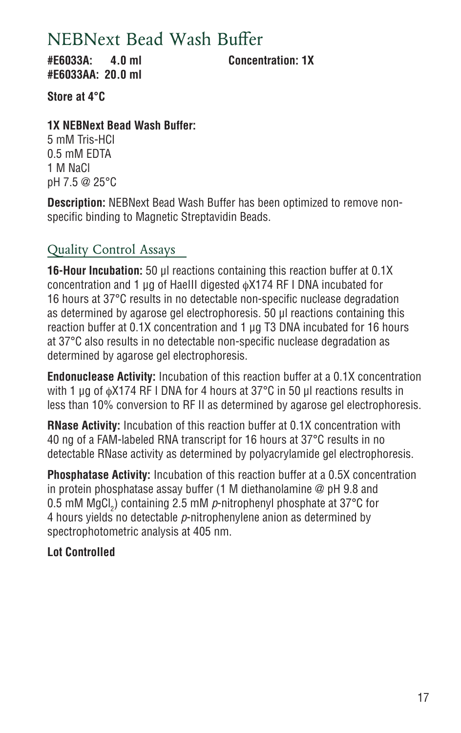## NEBNext Bead Wash Buffer

**#E6033A: 4.0 ml Concentration: 1X #E6033AA: 20.0 ml**

**Store at 4°C** 

### **1X NEBNext Bead Wash Buffer:**

5 mM Tris-HCl 0.5 mM EDTA 1 M NaCl pH 7.5 @ 25°C

**Description:** NEBNext Bead Wash Buffer has been optimized to remove nonspecific binding to Magnetic Streptavidin Beads.

## Quality Control Assays

**16-Hour Incubation:** 50 μl reactions containing this reaction buffer at 0.1X concentration and 1 μg of HaeIII digested φX174 RF I DNA incubated for 16 hours at 37°C results in no detectable non-specific nuclease degradation as determined by agarose gel electrophoresis. 50 μl reactions containing this reaction buffer at 0.1X concentration and 1 μg T3 DNA incubated for 16 hours at 37°C also results in no detectable non-specific nuclease degradation as determined by agarose gel electrophoresis.

**Endonuclease Activity:** Incubation of this reaction buffer at a 0.1X concentration with 1 μg of φX174 RF I DNA for 4 hours at 37°C in 50 μl reactions results in less than 10% conversion to RF II as determined by agarose gel electrophoresis.

**RNase Activity:** Incubation of this reaction buffer at 0.1X concentration with 40 ng of a FAM-labeled RNA transcript for 16 hours at 37°C results in no detectable RNase activity as determined by polyacrylamide gel electrophoresis.

**Phosphatase Activity:** Incubation of this reaction buffer at a 0.5X concentration in protein phosphatase assay buffer (1 M diethanolamine @ pH 9.8 and 0.5 mM MgCl<sub>2</sub>) containing 2.5 mM  $\rho$ -nitrophenyl phosphate at 37°C for 4 hours yields no detectable *p*-nitrophenylene anion as determined by spectrophotometric analysis at 405 nm.